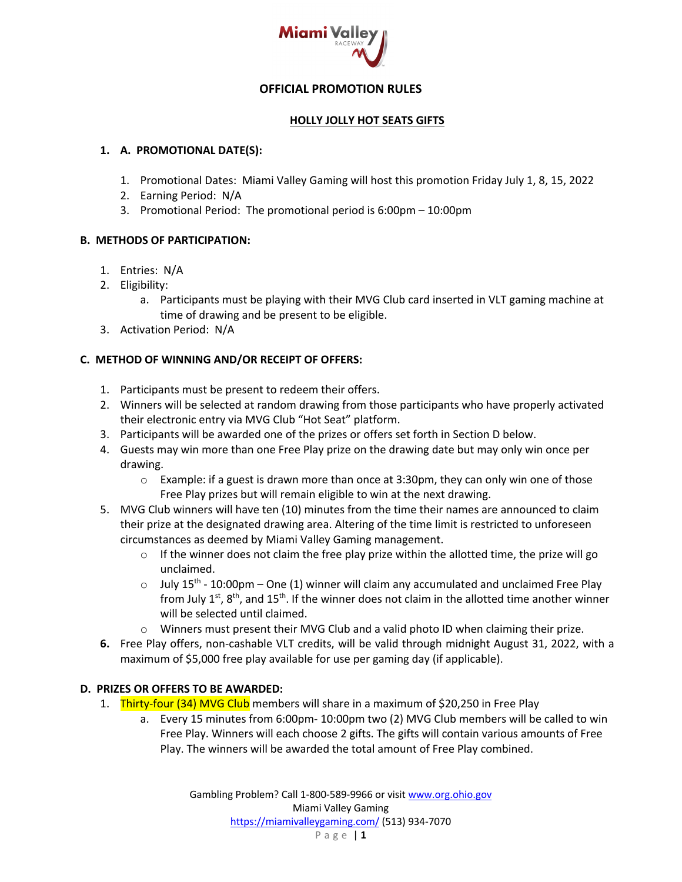

## **OFFICIAL PROMOTION RULES**

### **HOLLY JOLLY HOT SEATS GIFTS**

### **1. A. PROMOTIONAL DATE(S):**

- 1. Promotional Dates: Miami Valley Gaming will host this promotion Friday July 1, 8, 15, 2022
- 2. Earning Period: N/A
- 3. Promotional Period: The promotional period is 6:00pm 10:00pm

### **B. METHODS OF PARTICIPATION:**

- 1. Entries: N/A
- 2. Eligibility:
	- a. Participants must be playing with their MVG Club card inserted in VLT gaming machine at time of drawing and be present to be eligible.
- 3. Activation Period: N/A

# **C. METHOD OF WINNING AND/OR RECEIPT OF OFFERS:**

- 1. Participants must be present to redeem their offers.
- 2. Winners will be selected at random drawing from those participants who have properly activated their electronic entry via MVG Club "Hot Seat" platform.
- 3. Participants will be awarded one of the prizes or offers set forth in Section D below.
- 4. Guests may win more than one Free Play prize on the drawing date but may only win once per drawing.
	- $\circ$  Example: if a guest is drawn more than once at 3:30pm, they can only win one of those Free Play prizes but will remain eligible to win at the next drawing.
- 5. MVG Club winners will have ten (10) minutes from the time their names are announced to claim their prize at the designated drawing area. Altering of the time limit is restricted to unforeseen circumstances as deemed by Miami Valley Gaming management.
	- $\circ$  If the winner does not claim the free play prize within the allotted time, the prize will go unclaimed.
	- $\circ$  July 15<sup>th</sup> 10:00pm One (1) winner will claim any accumulated and unclaimed Free Play from July  $1^{st}$ ,  $8^{th}$ , and  $15^{th}$ . If the winner does not claim in the allotted time another winner will be selected until claimed.
	- o Winners must present their MVG Club and a valid photo ID when claiming their prize.
- **6.** Free Play offers, non-cashable VLT credits, will be valid through midnight August 31, 2022, with a maximum of \$5,000 free play available for use per gaming day (if applicable).

# **D. PRIZES OR OFFERS TO BE AWARDED:**

- 1. Thirty-four (34) MVG Club members will share in a maximum of \$20,250 in Free Play
	- a. Every 15 minutes from 6:00pm- 10:00pm two (2) MVG Club members will be called to win Free Play. Winners will each choose 2 gifts. The gifts will contain various amounts of Free Play. The winners will be awarded the total amount of Free Play combined.